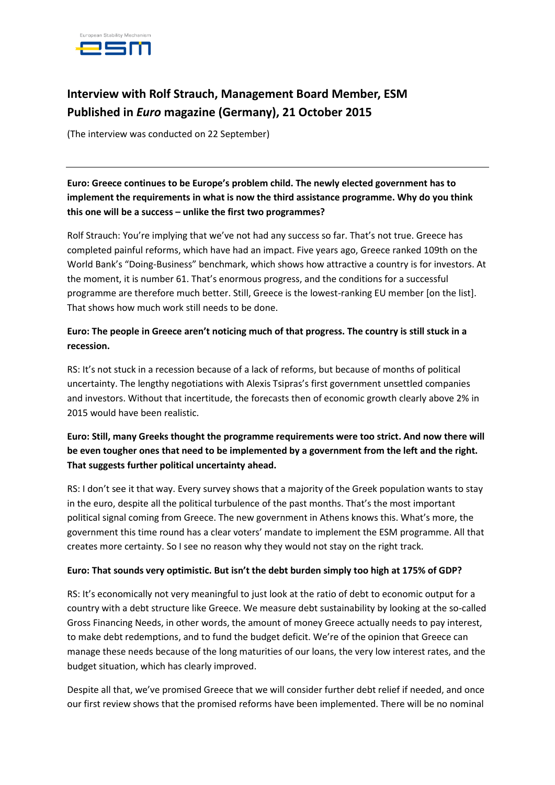

# **Interview with Rolf Strauch, Management Board Member, ESM Published in** *Euro* **magazine (Germany), 21 October 2015**

(The interview was conducted on 22 September)

## **Euro: Greece continues to be Europe's problem child. The newly elected government has to implement the requirements in what is now the third assistance programme. Why do you think this one will be a success – unlike the first two programmes?**

Rolf Strauch: You're implying that we've not had any success so far. That's not true. Greece has completed painful reforms, which have had an impact. Five years ago, Greece ranked 109th on the World Bank's "Doing-Business" benchmark, which shows how attractive a country is for investors. At the moment, it is number 61. That's enormous progress, and the conditions for a successful programme are therefore much better. Still, Greece is the lowest-ranking EU member [on the list]. That shows how much work still needs to be done.

### **Euro: The people in Greece aren't noticing much of that progress. The country is still stuck in a recession.**

RS: It's not stuck in a recession because of a lack of reforms, but because of months of political uncertainty. The lengthy negotiations with Alexis Tsipras's first government unsettled companies and investors. Without that incertitude, the forecasts then of economic growth clearly above 2% in 2015 would have been realistic.

## **Euro: Still, many Greeks thought the programme requirements were too strict. And now there will be even tougher ones that need to be implemented by a government from the left and the right. That suggests further political uncertainty ahead.**

RS: I don't see it that way. Every survey shows that a majority of the Greek population wants to stay in the euro, despite all the political turbulence of the past months. That's the most important political signal coming from Greece. The new government in Athens knows this. What's more, the government this time round has a clear voters' mandate to implement the ESM programme. All that creates more certainty. So I see no reason why they would not stay on the right track.

#### **Euro: That sounds very optimistic. But isn't the debt burden simply too high at 175% of GDP?**

RS: It's economically not very meaningful to just look at the ratio of debt to economic output for a country with a debt structure like Greece. We measure debt sustainability by looking at the so-called Gross Financing Needs, in other words, the amount of money Greece actually needs to pay interest, to make debt redemptions, and to fund the budget deficit. We're of the opinion that Greece can manage these needs because of the long maturities of our loans, the very low interest rates, and the budget situation, which has clearly improved.

Despite all that, we've promised Greece that we will consider further debt relief if needed, and once our first review shows that the promised reforms have been implemented. There will be no nominal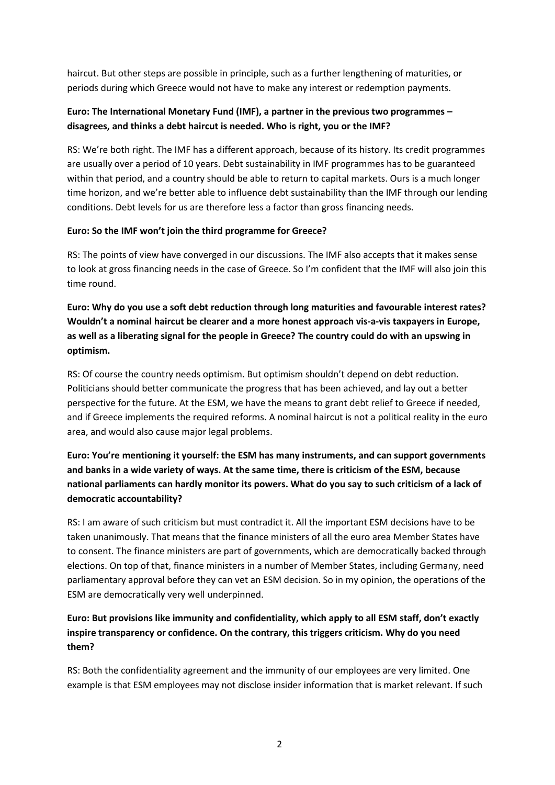haircut. But other steps are possible in principle, such as a further lengthening of maturities, or periods during which Greece would not have to make any interest or redemption payments.

## **Euro: The International Monetary Fund (IMF), a partner in the previous two programmes – disagrees, and thinks a debt haircut is needed. Who is right, you or the IMF?**

RS: We're both right. The IMF has a different approach, because of its history. Its credit programmes are usually over a period of 10 years. Debt sustainability in IMF programmes has to be guaranteed within that period, and a country should be able to return to capital markets. Ours is a much longer time horizon, and we're better able to influence debt sustainability than the IMF through our lending conditions. Debt levels for us are therefore less a factor than gross financing needs.

#### **Euro: So the IMF won't join the third programme for Greece?**

RS: The points of view have converged in our discussions. The IMF also accepts that it makes sense to look at gross financing needs in the case of Greece. So I'm confident that the IMF will also join this time round.

**Euro: Why do you use a soft debt reduction through long maturities and favourable interest rates? Wouldn't a nominal haircut be clearer and a more honest approach vis-a-vis taxpayers in Europe, as well as a liberating signal for the people in Greece? The country could do with an upswing in optimism.**

RS: Of course the country needs optimism. But optimism shouldn't depend on debt reduction. Politicians should better communicate the progress that has been achieved, and lay out a better perspective for the future. At the ESM, we have the means to grant debt relief to Greece if needed, and if Greece implements the required reforms. A nominal haircut is not a political reality in the euro area, and would also cause major legal problems.

# **Euro: You're mentioning it yourself: the ESM has many instruments, and can support governments and banks in a wide variety of ways. At the same time, there is criticism of the ESM, because national parliaments can hardly monitor its powers. What do you say to such criticism of a lack of democratic accountability?**

RS: I am aware of such criticism but must contradict it. All the important ESM decisions have to be taken unanimously. That means that the finance ministers of all the euro area Member States have to consent. The finance ministers are part of governments, which are democratically backed through elections. On top of that, finance ministers in a number of Member States, including Germany, need parliamentary approval before they can vet an ESM decision. So in my opinion, the operations of the ESM are democratically very well underpinned.

# **Euro: But provisions like immunity and confidentiality, which apply to all ESM staff, don't exactly inspire transparency or confidence. On the contrary, this triggers criticism. Why do you need them?**

RS: Both the confidentiality agreement and the immunity of our employees are very limited. One example is that ESM employees may not disclose insider information that is market relevant. If such